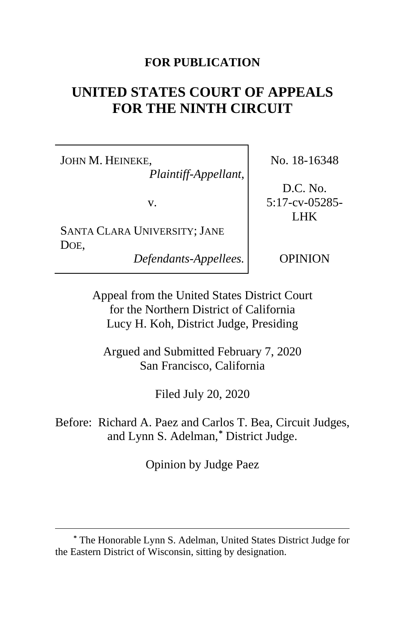## **FOR PUBLICATION**

# **UNITED STATES COURT OF APPEALS FOR THE NINTH CIRCUIT**

JOHN M. HEINEKE,

*Plaintiff-Appellant*,

v.

SANTA CLARA UNIVERSITY; JANE DOE,

*Defendants-Appellees.*

No. 18-16348

D.C. No. 5:17-cv-05285- LHK

OPINION

Appeal from the United States District Court for the Northern District of California Lucy H. Koh, District Judge, Presiding

Argued and Submitted February 7, 2020 San Francisco, California

Filed July 20, 2020

Before: Richard A. Paez and Carlos T. Bea, Circuit Judges, and Lynn S. Adelman,**[\\*](#page-0-0)** District Judge.

Opinion by Judge Paez

<span id="page-0-0"></span>**<sup>\*</sup>** The Honorable Lynn S. Adelman, United States District Judge for the Eastern District of Wisconsin, sitting by designation.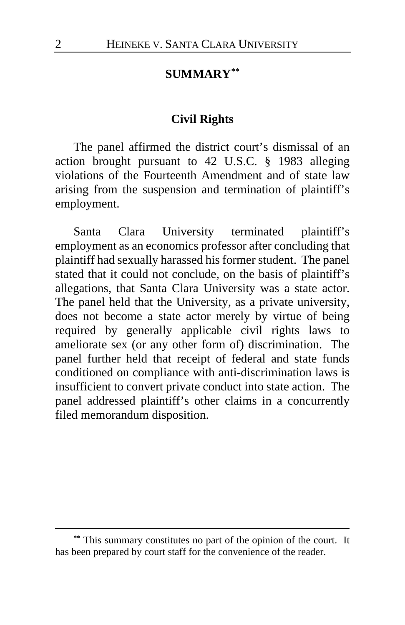# **SUMMARY[\\*\\*](#page-1-0)**

## **Civil Rights**

The panel affirmed the district court's dismissal of an action brought pursuant to 42 U.S.C. § 1983 alleging violations of the Fourteenth Amendment and of state law arising from the suspension and termination of plaintiff's employment.

Santa Clara University terminated plaintiff's employment as an economics professor after concluding that plaintiff had sexually harassed his former student. The panel stated that it could not conclude, on the basis of plaintiff's allegations, that Santa Clara University was a state actor. The panel held that the University, as a private university, does not become a state actor merely by virtue of being required by generally applicable civil rights laws to ameliorate sex (or any other form of) discrimination. The panel further held that receipt of federal and state funds conditioned on compliance with anti-discrimination laws is insufficient to convert private conduct into state action. The panel addressed plaintiff's other claims in a concurrently filed memorandum disposition.

<span id="page-1-0"></span>**<sup>\*\*</sup>** This summary constitutes no part of the opinion of the court. It has been prepared by court staff for the convenience of the reader.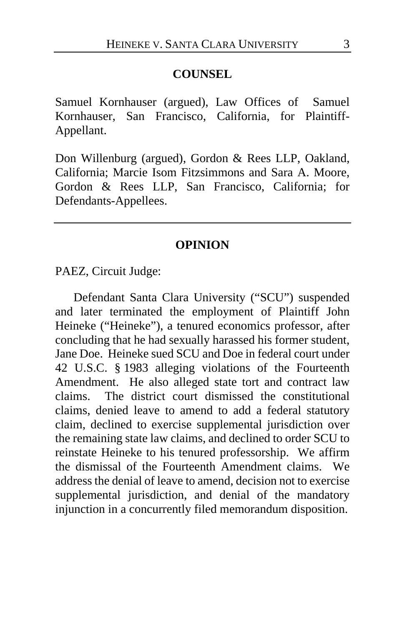#### **COUNSEL**

Samuel Kornhauser (argued), Law Offices of Samuel Kornhauser, San Francisco, California, for Plaintiff-Appellant.

Don Willenburg (argued), Gordon & Rees LLP, Oakland, California; Marcie Isom Fitzsimmons and Sara A. Moore, Gordon & Rees LLP, San Francisco, California; for Defendants-Appellees.

#### **OPINION**

PAEZ, Circuit Judge:

Defendant Santa Clara University ("SCU") suspended and later terminated the employment of Plaintiff John Heineke ("Heineke"), a tenured economics professor, after concluding that he had sexually harassed his former student, Jane Doe. Heineke sued SCU and Doe in federal court under 42 U.S.C. § 1983 alleging violations of the Fourteenth Amendment. He also alleged state tort and contract law claims. The district court dismissed the constitutional claims, denied leave to amend to add a federal statutory claim, declined to exercise supplemental jurisdiction over the remaining state law claims, and declined to order SCU to reinstate Heineke to his tenured professorship. We affirm the dismissal of the Fourteenth Amendment claims. We address the denial of leave to amend, decision not to exercise supplemental jurisdiction, and denial of the mandatory injunction in a concurrently filed memorandum disposition.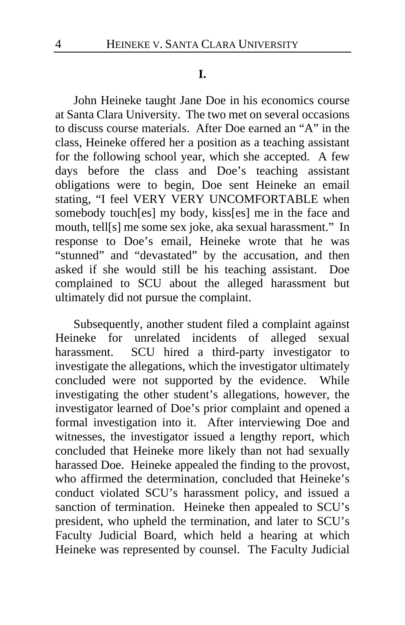#### **I.**

John Heineke taught Jane Doe in his economics course at Santa Clara University. The two met on several occasions to discuss course materials. After Doe earned an "A" in the class, Heineke offered her a position as a teaching assistant for the following school year, which she accepted. A few days before the class and Doe's teaching assistant obligations were to begin, Doe sent Heineke an email stating, "I feel VERY VERY UNCOMFORTABLE when somebody touch[es] my body, kiss[es] me in the face and mouth, tell[s] me some sex joke, aka sexual harassment." In response to Doe's email, Heineke wrote that he was "stunned" and "devastated" by the accusation, and then asked if she would still be his teaching assistant. Doe complained to SCU about the alleged harassment but ultimately did not pursue the complaint.

Subsequently, another student filed a complaint against Heineke for unrelated incidents of alleged sexual harassment. SCU hired a third-party investigator to investigate the allegations, which the investigator ultimately concluded were not supported by the evidence. While investigating the other student's allegations, however, the investigator learned of Doe's prior complaint and opened a formal investigation into it. After interviewing Doe and witnesses, the investigator issued a lengthy report, which concluded that Heineke more likely than not had sexually harassed Doe. Heineke appealed the finding to the provost, who affirmed the determination, concluded that Heineke's conduct violated SCU's harassment policy, and issued a sanction of termination. Heineke then appealed to SCU's president, who upheld the termination, and later to SCU's Faculty Judicial Board, which held a hearing at which Heineke was represented by counsel. The Faculty Judicial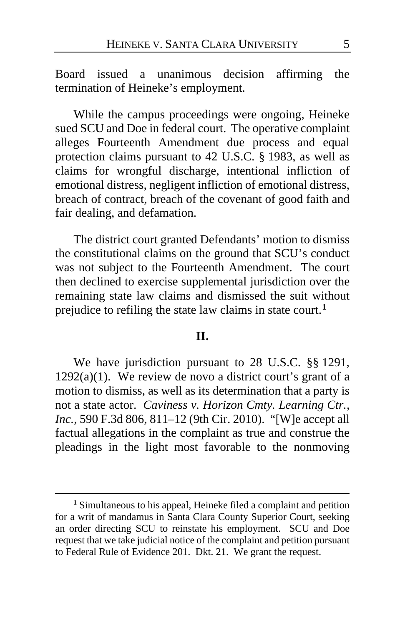Board issued a unanimous decision affirming the termination of Heineke's employment.

While the campus proceedings were ongoing, Heineke sued SCU and Doe in federal court. The operative complaint alleges Fourteenth Amendment due process and equal protection claims pursuant to 42 U.S.C. § 1983, as well as claims for wrongful discharge, intentional infliction of emotional distress, negligent infliction of emotional distress, breach of contract, breach of the covenant of good faith and fair dealing, and defamation.

The district court granted Defendants' motion to dismiss the constitutional claims on the ground that SCU's conduct was not subject to the Fourteenth Amendment. The court then declined to exercise supplemental jurisdiction over the remaining state law claims and dismissed the suit without prejudice to refiling the state law claims in state court.**[1](#page-4-0)**

## **II.**

We have jurisdiction pursuant to 28 U.S.C. §§ 1291,  $1292(a)(1)$ . We review de novo a district court's grant of a motion to dismiss, as well as its determination that a party is not a state actor. *Caviness v. Horizon Cmty. Learning Ctr., Inc.*, 590 F.3d 806, 811–12 (9th Cir. 2010). "[W]e accept all factual allegations in the complaint as true and construe the pleadings in the light most favorable to the nonmoving

<span id="page-4-0"></span>**<sup>1</sup>** Simultaneous to his appeal, Heineke filed a complaint and petition for a writ of mandamus in Santa Clara County Superior Court, seeking an order directing SCU to reinstate his employment. SCU and Doe request that we take judicial notice of the complaint and petition pursuant to Federal Rule of Evidence 201. Dkt. 21. We grant the request.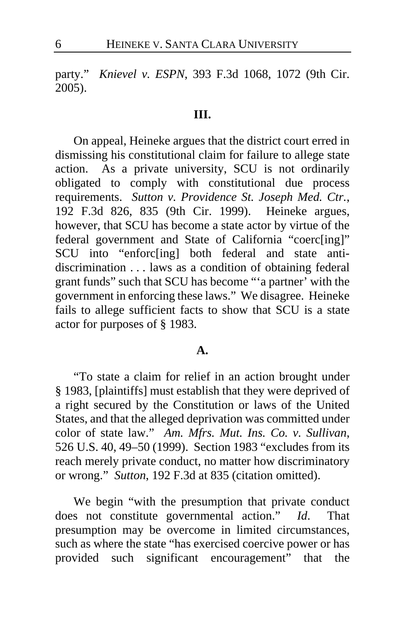party." *Knievel v. ESPN*, 393 F.3d 1068, 1072 (9th Cir. 2005).

## **III.**

On appeal, Heineke argues that the district court erred in dismissing his constitutional claim for failure to allege state action. As a private university, SCU is not ordinarily obligated to comply with constitutional due process requirements. *Sutton v. Providence St. Joseph Med. Ctr.*, 192 F.3d 826, 835 (9th Cir. 1999).Heineke argues, however, that SCU has become a state actor by virtue of the federal government and State of California "coerc[ing]" SCU into "enforc[ing] both federal and state antidiscrimination . . . laws as a condition of obtaining federal grant funds" such that SCU has become "'a partner' with the government in enforcing these laws." We disagree. Heineke fails to allege sufficient facts to show that SCU is a state actor for purposes of § 1983.

#### **A.**

"To state a claim for relief in an action brought under § 1983, [plaintiffs] must establish that they were deprived of a right secured by the Constitution or laws of the United States, and that the alleged deprivation was committed under color of state law." *Am. Mfrs. Mut. Ins. Co. v. Sullivan*, 526 U.S. 40, 49–50 (1999). Section 1983 "excludes from its reach merely private conduct, no matter how discriminatory or wrong." *Sutton*, 192 F.3d at 835 (citation omitted).

We begin "with the presumption that private conduct does not constitute governmental action." *Id*. That presumption may be overcome in limited circumstances, such as where the state "has exercised coercive power or has provided such significant encouragement" that the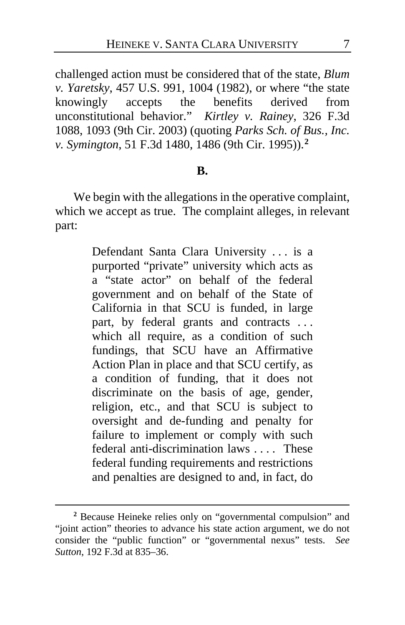challenged action must be considered that of the state, *Blum v. Yaretsky*, 457 U.S. 991, 1004 (1982), or where "the state knowingly accepts the benefits derived from unconstitutional behavior." *Kirtley v. Rainey*, 326 F.3d 1088, 1093 (9th Cir. 2003) (quoting *Parks Sch. of Bus., Inc. v. Symington*, 51 F.3d 1480, 1486 (9th Cir. 1995)).**[2](#page-6-0)**

#### **B.**

We begin with the allegations in the operative complaint, which we accept as true. The complaint alleges, in relevant part:

> Defendant Santa Clara University . . . is a purported "private" university which acts as a "state actor" on behalf of the federal government and on behalf of the State of California in that SCU is funded, in large part, by federal grants and contracts ... which all require, as a condition of such fundings, that SCU have an Affirmative Action Plan in place and that SCU certify, as a condition of funding, that it does not discriminate on the basis of age, gender, religion, etc., and that SCU is subject to oversight and de-funding and penalty for failure to implement or comply with such federal anti-discrimination laws . . . . These federal funding requirements and restrictions and penalties are designed to and, in fact, do

<span id="page-6-0"></span>**<sup>2</sup>** Because Heineke relies only on "governmental compulsion" and "joint action" theories to advance his state action argument, we do not consider the "public function" or "governmental nexus" tests. *See Sutton*, 192 F.3d at 835–36.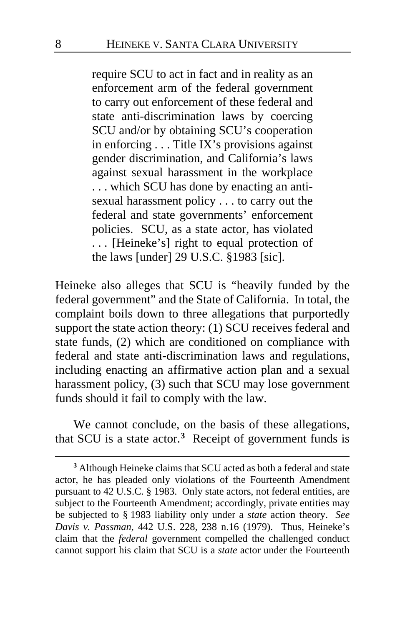require SCU to act in fact and in reality as an enforcement arm of the federal government to carry out enforcement of these federal and state anti-discrimination laws by coercing SCU and/or by obtaining SCU's cooperation in enforcing . . . Title IX's provisions against gender discrimination, and California's laws against sexual harassment in the workplace . . . which SCU has done by enacting an antisexual harassment policy . . . to carry out the federal and state governments' enforcement policies. SCU, as a state actor, has violated . . . [Heineke's] right to equal protection of the laws [under] 29 U.S.C. §1983 [sic].

Heineke also alleges that SCU is "heavily funded by the federal government" and the State of California. In total, the complaint boils down to three allegations that purportedly support the state action theory: (1) SCU receives federal and state funds, (2) which are conditioned on compliance with federal and state anti-discrimination laws and regulations, including enacting an affirmative action plan and a sexual harassment policy, (3) such that SCU may lose government funds should it fail to comply with the law.

We cannot conclude, on the basis of these allegations, that SCU is a state actor.**[3](#page-7-0)** Receipt of government funds is

<span id="page-7-0"></span>**<sup>3</sup>** Although Heineke claims that SCU acted as both a federal and state actor, he has pleaded only violations of the Fourteenth Amendment pursuant to 42 U.S.C. § 1983. Only state actors, not federal entities, are subject to the Fourteenth Amendment; accordingly, private entities may be subjected to § 1983 liability only under a *state* action theory. *See Davis v. Passman*, 442 U.S. 228, 238 n.16 (1979). Thus, Heineke's claim that the *federal* government compelled the challenged conduct cannot support his claim that SCU is a *state* actor under the Fourteenth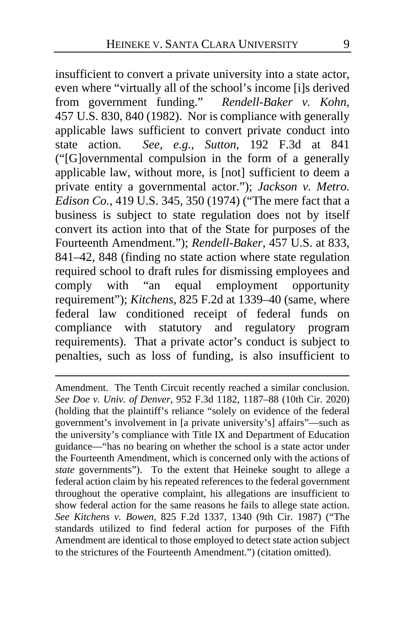insufficient to convert a private university into a state actor, even where "virtually all of the school's income [i]s derived from government funding." *Rendell-Baker v. Kohn*, 457 U.S. 830, 840 (1982). Nor is compliance with generally applicable laws sufficient to convert private conduct into state action. *See, e.g., Sutton*, 192 F.3d at 841 ("[G]overnmental compulsion in the form of a generally applicable law, without more, is [not] sufficient to deem a private entity a governmental actor."); *Jackson v. Metro. Edison Co.*, 419 U.S. 345, 350 (1974) ("The mere fact that a business is subject to state regulation does not by itself convert its action into that of the State for purposes of the Fourteenth Amendment."); *Rendell-Baker*, 457 U.S. at 833, 841–42, 848 (finding no state action where state regulation required school to draft rules for dismissing employees and comply with "an equal employment opportunity requirement"); *Kitchens*, 825 F.2d at 1339–40 (same, where federal law conditioned receipt of federal funds on compliance with statutory and regulatory program requirements). That a private actor's conduct is subject to penalties, such as loss of funding, is also insufficient to

Amendment. The Tenth Circuit recently reached a similar conclusion. *See Doe v. Univ. of Denver*, 952 F.3d 1182, 1187–88 (10th Cir. 2020) (holding that the plaintiff's reliance "solely on evidence of the federal government's involvement in [a private university's] affairs"—such as the university's compliance with Title IX and Department of Education guidance—"has no bearing on whether the school is a state actor under the Fourteenth Amendment, which is concerned only with the actions of *state* governments"). To the extent that Heineke sought to allege a federal action claim by his repeated references to the federal government throughout the operative complaint, his allegations are insufficient to show federal action for the same reasons he fails to allege state action. *See Kitchens v. Bowen*, 825 F.2d 1337, 1340 (9th Cir. 1987) ("The standards utilized to find federal action for purposes of the Fifth Amendment are identical to those employed to detect state action subject to the strictures of the Fourteenth Amendment.") (citation omitted).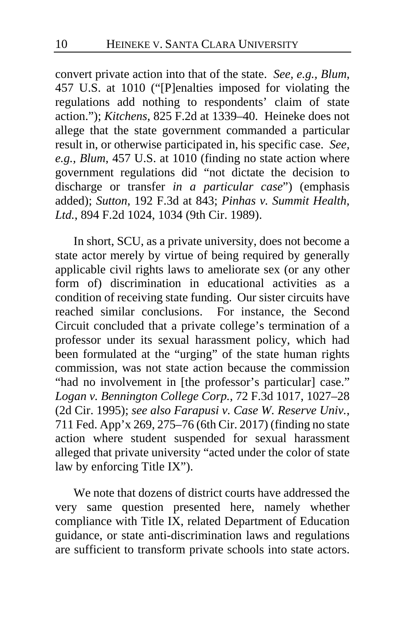convert private action into that of the state. *See, e.g., Blum*, 457 U.S. at 1010 ("[P]enalties imposed for violating the regulations add nothing to respondents' claim of state action."); *Kitchens*, 825 F.2d at 1339–40. Heineke does not allege that the state government commanded a particular result in, or otherwise participated in, his specific case. *See, e.g., Blum*, 457 U.S. at 1010 (finding no state action where government regulations did "not dictate the decision to discharge or transfer *in a particular case*") (emphasis added); *Sutton*, 192 F.3d at 843; *Pinhas v. Summit Health, Ltd.*, 894 F.2d 1024, 1034 (9th Cir. 1989).

In short, SCU, as a private university, does not become a state actor merely by virtue of being required by generally applicable civil rights laws to ameliorate sex (or any other form of) discrimination in educational activities as a condition of receiving state funding. Our sister circuits have reached similar conclusions. For instance, the Second Circuit concluded that a private college's termination of a professor under its sexual harassment policy, which had been formulated at the "urging" of the state human rights commission, was not state action because the commission "had no involvement in [the professor's particular] case." *Logan v. Bennington College Corp.*, 72 F.3d 1017, 1027–28 (2d Cir. 1995); *see also Farapusi v. Case W. Reserve Univ.*, 711 Fed. App'x 269, 275–76 (6th Cir. 2017) (finding no state action where student suspended for sexual harassment alleged that private university "acted under the color of state law by enforcing Title IX").

We note that dozens of district courts have addressed the very same question presented here, namely whether compliance with Title IX, related Department of Education guidance, or state anti-discrimination laws and regulations are sufficient to transform private schools into state actors.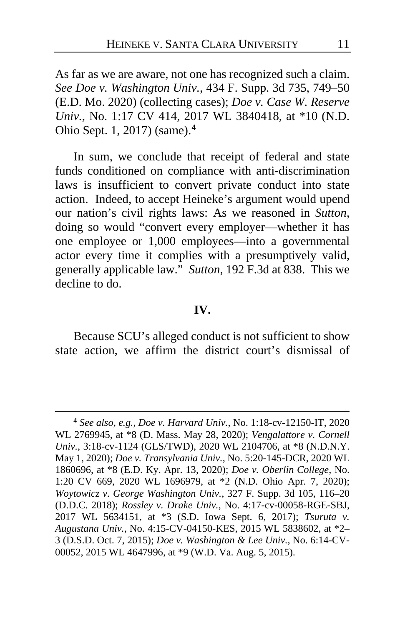As far as we are aware, not one has recognized such a claim. *See Doe v. Washington Univ.*, 434 F. Supp. 3d 735, 749–50 (E.D. Mo. 2020) (collecting cases); *Doe v. Case W. Reserve Univ.*, No. 1:17 CV 414, 2017 WL 3840418, at \*10 (N.D. Ohio Sept. 1, 2017) (same).**[4](#page-10-0)**

In sum, we conclude that receipt of federal and state funds conditioned on compliance with anti-discrimination laws is insufficient to convert private conduct into state action. Indeed, to accept Heineke's argument would upend our nation's civil rights laws: As we reasoned in *Sutton*, doing so would "convert every employer—whether it has one employee or 1,000 employees—into a governmental actor every time it complies with a presumptively valid, generally applicable law." *Sutton*, 192 F.3d at 838. This we decline to do.

#### **IV.**

Because SCU's alleged conduct is not sufficient to show state action, we affirm the district court's dismissal of

<span id="page-10-0"></span>**<sup>4</sup>** *See also, e.g., Doe v. Harvard Univ.*, No. 1:18-cv-12150-IT, 2020 WL 2769945, at \*8 (D. Mass. May 28, 2020); *Vengalattore v. Cornell Univ.*, 3:18-cv-1124 (GLS/TWD), 2020 WL 2104706, at \*8 (N.D.N.Y. May 1, 2020); *Doe v. Transylvania Univ.*, No. 5:20-145-DCR, 2020 WL 1860696, at \*8 (E.D. Ky. Apr. 13, 2020); *Doe v. Oberlin College*, No. 1:20 CV 669, 2020 WL 1696979, at \*2 (N.D. Ohio Apr. 7, 2020); *Woytowicz v. George Washington Univ.*, 327 F. Supp. 3d 105, 116–20 (D.D.C. 2018); *Rossley v. Drake Univ.*, No. 4:17-cv-00058-RGE-SBJ, 2017 WL 5634151, at \*3 (S.D. Iowa Sept. 6, 2017); *Tsuruta v. Augustana Univ.*, No. 4:15-CV-04150-KES, 2015 WL 5838602, at \*2– 3 (D.S.D. Oct. 7, 2015); *Doe v. Washington & Lee Univ.*, No. 6:14-CV-00052, 2015 WL 4647996, at \*9 (W.D. Va. Aug. 5, 2015).